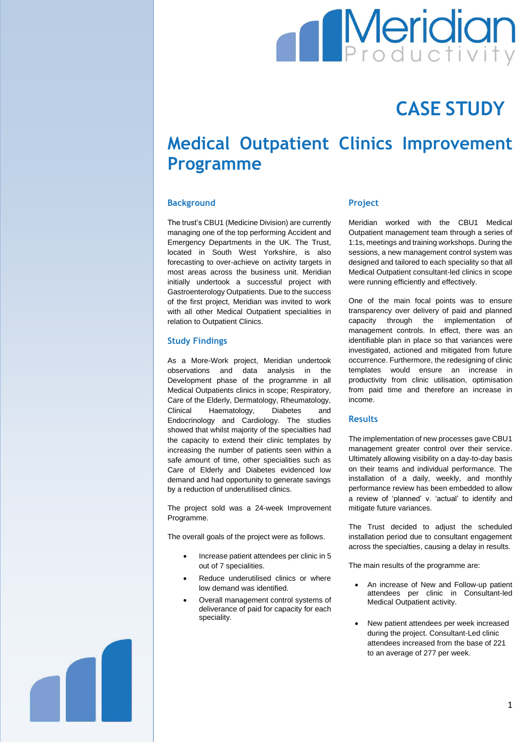# **Meridian**

## **CASE STUDY**

## **Medical Outpatient Clinics Improvement Programme**

#### **Background**

The trust's CBU1 (Medicine Division) are currently managing one of the top performing Accident and Emergency Departments in the UK. The Trust, located in South West Yorkshire, is also forecasting to over-achieve on activity targets in most areas across the business unit. Meridian initially undertook a successful project with Gastroenterology Outpatients. Due to the success of the first project, Meridian was invited to work with all other Medical Outpatient specialities in relation to Outpatient Clinics.

#### **Study Findings**

As a More-Work project, Meridian undertook observations and data analysis in the Development phase of the programme in all Medical Outpatients clinics in scope; Respiratory, Care of the Elderly, Dermatology, Rheumatology, Clinical Haematology, Diabetes and Endocrinology and Cardiology. The studies showed that whilst majority of the specialties had the capacity to extend their clinic templates by increasing the number of patients seen within a safe amount of time, other specialities such as Care of Elderly and Diabetes evidenced low demand and had opportunity to generate savings by a reduction of underutilised clinics.

The project sold was a 24-week Improvement Programme.

The overall goals of the project were as follows.

- Increase patient attendees per clinic in 5 out of 7 specialities.
- Reduce underutilised clinics or where low demand was identified.
- Overall management control systems of deliverance of paid for capacity for each speciality.

#### **Project**

Meridian worked with the CBU1 Medical Outpatient management team through a series of 1:1s, meetings and training workshops. During the sessions, a new management control system was designed and tailored to each speciality so that all Medical Outpatient consultant-led clinics in scope were running efficiently and effectively.

One of the main focal points was to ensure transparency over delivery of paid and planned capacity through the implementation of management controls. In effect, there was an identifiable plan in place so that variances were investigated, actioned and mitigated from future occurrence. Furthermore, the redesigning of clinic templates would ensure an increase in productivity from clinic utilisation, optimisation from paid time and therefore an increase in income.

#### **Results**

The implementation of new processes gave CBU1 management greater control over their service. Ultimately allowing visibility on a day-to-day basis on their teams and individual performance. The installation of a daily, weekly, and monthly performance review has been embedded to allow a review of 'planned' v. 'actual' to identify and mitigate future variances.

The Trust decided to adjust the scheduled installation period due to consultant engagement across the specialties, causing a delay in results.

The main results of the programme are:

- An increase of New and Follow-up patient attendees per clinic in Consultant-led Medical Outpatient activity.
- New patient attendees per week increased during the project. Consultant-Led clinic attendees increased from the base of 221 to an average of 277 per week.

1